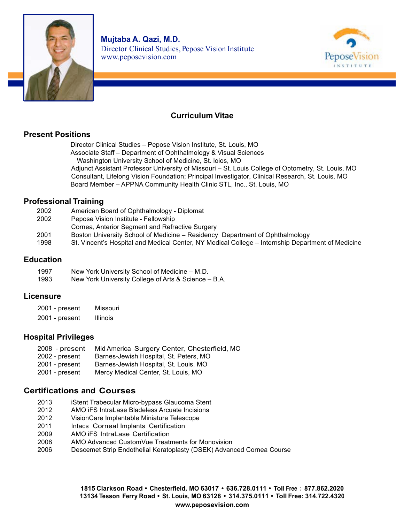



# **Curriculum Vitae**

## **Present Positions**

Director Clinical Studies – Pepose Vision Institute, St. Louis, MO Associate Staff – Department of Ophthalmology & Visual Sciences Washington University School of Medicine, St. loios, MO Adjunct Assistant Professor University of Missouri – St. Louis College of Optometry, St. Louis, MO Consultant, Lifelong Vision Foundation; Principal Investigator, Clinical Research, St. Louis, MO Board Member – APPNA Community Health Clinic STL, Inc., St. Louis, MO

## **Professional Training**

| 2002 | American Board of Ophthalmology - Diplomat                                                        |
|------|---------------------------------------------------------------------------------------------------|
| 2002 | Pepose Vision Institute - Fellowship                                                              |
|      | Cornea, Anterior Segment and Refractive Surgery                                                   |
| 2001 | Boston University School of Medicine – Residency Department of Ophthalmology                      |
| 1998 | St. Vincent's Hospital and Medical Center, NY Medical College – Internship Department of Medicine |
|      |                                                                                                   |

### **Education**

1997 New York University School of Medicine – M.D. 1993 New York University College of Arts & Science – B.A.

### **Licensure**

| 2001 - present   | Missouri        |
|------------------|-----------------|
| $2001$ - present | <b>Illinois</b> |

### **Hospital Privileges**

| $2008$ - present     | Mid America Surgery Center, Chesterfield, MO                       |
|----------------------|--------------------------------------------------------------------|
| $2002$ - present     | Barnes-Jewish Hospital, St. Peters, MO                             |
| $2001$ - present     | Barnes-Jewish Hospital, St. Louis, MO                              |
| $0.004 \times 0.001$ | $M_{\odot}$ . Most set $\Omega$ is $\Omega$ in the state $M\Omega$ |

2001 - present Mercy Medical Center, St. Louis, MO

### **Certifications and Courses**

- 2013 iStent Trabecular Micro-bypass Glaucoma Stent
- 2012 AMO iFS IntraLase Bladeless Arcuate Incisions
- 2012 VisionCare Implantable Miniature Telescope
- 2011 Intacs Corneal Implants Certification
- 2009 AMO iFS IntraLase Certification
- 2008 AMO Advanced CustomVue Treatments for Monovision
- 2006 Descemet Strip Endothelial Keratoplasty (DSEK) Advanced Cornea Course

**1815 Clarkson Road • Chesterfield, MO 63017 • 636.728.0111 • Toll Free : 877.862.2020 13134 Tesson Ferry Road • St. Louis, MO 63128 • 314.375.0111 • Toll Free: 314.722.4320 www.peposevision.com**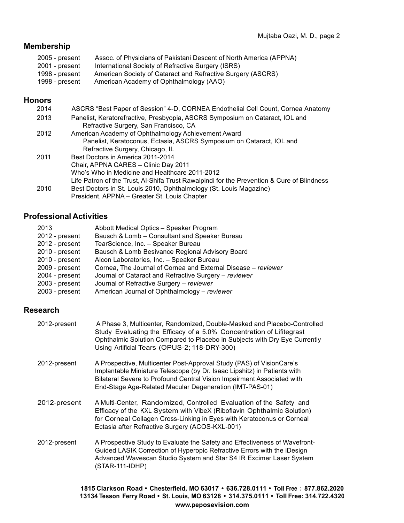## **Membership**

- 2005 present Assoc. of Physicians of Pakistani Descent of North America (APPNA) 2001 - present International Society of Refractive Surgery (ISRS)
- 1998 present American Society of Cataract and Refractive Surgery (ASCRS)<br>1998 present American Academy of Ophthalmology (AAO) American Academy of Ophthalmology (AAO)

## **Honors**

| 2014 | ASCRS "Best Paper of Session" 4-D, CORNEA Endothelial Cell Count, Cornea Anatomy           |
|------|--------------------------------------------------------------------------------------------|
| 2013 | Panelist, Keratorefractive, Presbyopia, ASCRS Symposium on Cataract, IOL and               |
|      | Refractive Surgery, San Francisco, CA                                                      |
| 2012 | American Academy of Ophthalmology Achievement Award                                        |
|      | Panelist, Keratoconus, Ectasia, ASCRS Symposium on Cataract, IOL and                       |
|      | Refractive Surgery, Chicago, IL                                                            |
| 2011 | Best Doctors in America 2011-2014                                                          |
|      | Chair, APPNA CARES - Clinic Day 2011                                                       |
|      | Who's Who in Medicine and Healthcare 2011-2012                                             |
|      | Life Patron of the Trust, Al-Shifa Trust Rawalpindi for the Prevention & Cure of Blindness |
| 2010 | Best Doctors in St. Louis 2010, Ophthalmology (St. Louis Magazine)                         |
|      | President, APPNA – Greater St. Louis Chapter                                               |

## **Professional Activities**

| 2013           | Abbott Medical Optics - Speaker Program                       |
|----------------|---------------------------------------------------------------|
| 2012 - present | Bausch & Lomb - Consultant and Speaker Bureau                 |
| 2012 - present | TearScience, Inc. - Speaker Bureau                            |
| 2010 - present | Bausch & Lomb Besivance Regional Advisory Board               |
| 2010 - present | Alcon Laboratories, Inc. - Speaker Bureau                     |
| 2009 - present | Cornea, The Journal of Cornea and External Disease - reviewer |
| 2004 - present | Journal of Cataract and Refractive Surgery - reviewer         |
| 2003 - present | Journal of Refractive Surgery - reviewer                      |
| 2003 - present | American Journal of Ophthalmology - reviewer                  |

# **Research**

| 2012-present | A Phase 3, Multicenter, Randomized, Double-Masked and Placebo-Controlled<br>Study Evaluating the Efficacy of a 5.0% Concentration of Lifitegrast<br>Ophthalmic Solution Compared to Placebo in Subjects with Dry Eye Currently<br>Using Artificial Tears (OPUS-2; 118-DRY-300)        |
|--------------|---------------------------------------------------------------------------------------------------------------------------------------------------------------------------------------------------------------------------------------------------------------------------------------|
| 2012-present | A Prospective, Multicenter Post-Approval Study (PAS) of VisionCare's<br>Implantable Miniature Telescope (by Dr. Isaac Lipshitz) in Patients with<br>Bilateral Severe to Profound Central Vision Impairment Associated with<br>End-Stage Age-Related Macular Degeneration (IMT-PAS-01) |
| 2012-present | A Multi-Center, Randomized, Controlled Evaluation of the Safety and<br>Efficacy of the KXL System with VibeX (Riboflavin Ophthalmic Solution)<br>for Corneal Collagen Cross-Linking in Eyes with Keratoconus or Corneal<br>Ectasia after Refractive Surgery (ACOS-KXL-001)            |
| 2012-present | A Prospective Study to Evaluate the Safety and Effectiveness of Wavefront-<br>Guided LASIK Correction of Hyperopic Refractive Errors with the iDesign<br>Advanced Wavescan Studio System and Star S4 IR Excimer Laser System<br>(STAR-111-IDHP)                                       |